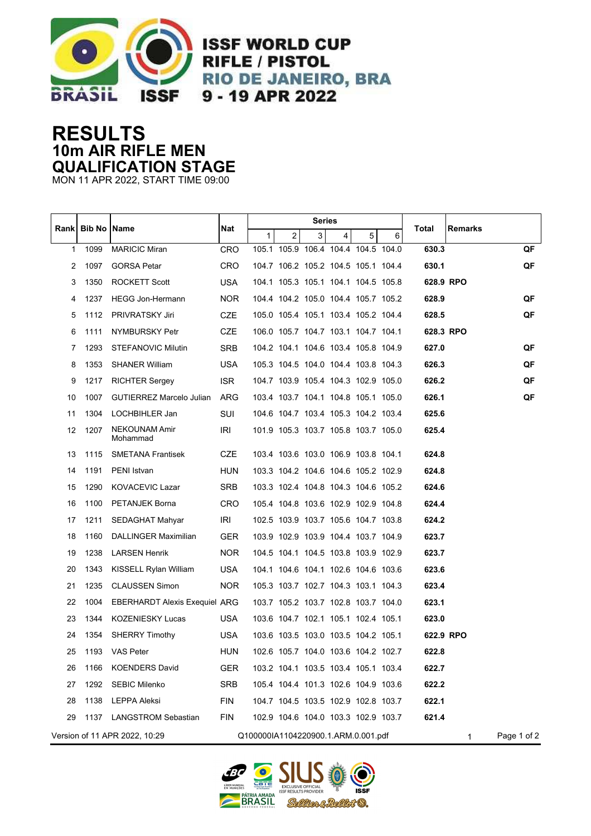

**ISSF WORLD CUP RIFLE / PISTOL RIO DE JANEIRO, BRA** 9 - 19 APR 2022

## **RESULTS 10m AIR RIFLE MEN QUALIFICATION STAGE**

MON 11 APR 2022, START TIME 09:00

| <b>Rank</b> | <b>Bib No   Name</b> |                                      | Nat        | Series                              |                                     |                         |   |   |   |           |         |             |
|-------------|----------------------|--------------------------------------|------------|-------------------------------------|-------------------------------------|-------------------------|---|---|---|-----------|---------|-------------|
|             |                      |                                      |            | 1                                   | 2                                   | $\overline{\mathbf{3}}$ | 4 | 5 | 6 | Total     | Remarks |             |
| 1           | 1099                 | <b>MARICIC Miran</b>                 | <b>CRO</b> |                                     | 105.1 105.9 106.4 104.4 104.5 104.0 |                         |   |   |   | 630.3     |         | QF          |
| 2           | 1097                 | <b>GORSA Petar</b>                   | CRO        |                                     | 104.7 106.2 105.2 104.5 105.1 104.4 |                         |   |   |   | 630.1     |         | QF          |
| 3           | 1350                 | <b>ROCKETT Scott</b>                 | USA.       |                                     | 104.1 105.3 105.1 104.1 104.5 105.8 |                         |   |   |   | 628.9 RPO |         |             |
| 4           | 1237                 | <b>HEGG Jon-Hermann</b>              | NOR.       |                                     | 104.4 104.2 105.0 104.4 105.7 105.2 |                         |   |   |   | 628.9     |         | QF          |
| 5           | 1112                 | <b>PRIVRATSKY Jiri</b>               | <b>CZE</b> |                                     | 105.0 105.4 105.1 103.4 105.2 104.4 |                         |   |   |   | 628.5     |         | QF          |
| 6           | 1111                 | NYMBURSKY Petr                       | <b>CZE</b> |                                     | 106.0 105.7 104.7 103.1 104.7 104.1 |                         |   |   |   | 628.3 RPO |         |             |
| 7           | 1293                 | STEFANOVIC Milutin                   | <b>SRB</b> |                                     | 104.2 104.1 104.6 103.4 105.8 104.9 |                         |   |   |   | 627.0     |         | QF          |
| 8           | 1353                 | <b>SHANER William</b>                | <b>USA</b> |                                     | 105.3 104.5 104.0 104.4 103.8 104.3 |                         |   |   |   | 626.3     |         | QF          |
| 9           | 1217                 | <b>RICHTER Sergey</b>                | <b>ISR</b> |                                     | 104.7 103.9 105.4 104.3 102.9 105.0 |                         |   |   |   | 626.2     |         | QF          |
| 10          | 1007                 | <b>GUTIERREZ Marcelo Julian</b>      | ARG        |                                     | 103.4 103.7 104.1 104.8 105.1 105.0 |                         |   |   |   | 626.1     |         | QF          |
| 11          | 1304                 | LOCHBIHLER Jan                       | SUI        |                                     | 104.6 104.7 103.4 105.3 104.2 103.4 |                         |   |   |   | 625.6     |         |             |
| 12          | 1207                 | NEKOUNAM Amir<br>Mohammad            | IRI        |                                     | 101.9 105.3 103.7 105.8 103.7 105.0 |                         |   |   |   | 625.4     |         |             |
| 13          | 1115                 | <b>SMETANA Frantisek</b>             | <b>CZE</b> |                                     | 103.4 103.6 103.0 106.9 103.8 104.1 |                         |   |   |   | 624.8     |         |             |
| 14          | 1191                 | PENI Istvan                          | <b>HUN</b> |                                     | 103.3 104.2 104.6 104.6 105.2 102.9 |                         |   |   |   | 624.8     |         |             |
| 15          | 1290                 | <b>KOVACEVIC Lazar</b>               | <b>SRB</b> |                                     | 103.3 102.4 104.8 104.3 104.6 105.2 |                         |   |   |   | 624.6     |         |             |
| 16          | 1100                 | PETANJEK Borna                       | CRO        |                                     | 105.4 104.8 103.6 102.9 102.9 104.8 |                         |   |   |   | 624.4     |         |             |
| 17          | 1211                 | SEDAGHAT Mahyar                      | IRI        |                                     | 102.5 103.9 103.7 105.6 104.7 103.8 |                         |   |   |   | 624.2     |         |             |
| 18          | 1160                 | DALLINGER Maximilian                 | <b>GER</b> |                                     | 103.9 102.9 103.9 104.4 103.7 104.9 |                         |   |   |   | 623.7     |         |             |
| 19          | 1238                 | <b>LARSEN Henrik</b>                 | <b>NOR</b> |                                     | 104.5 104.1 104.5 103.8 103.9 102.9 |                         |   |   |   | 623.7     |         |             |
| 20          | 1343                 | KISSELL Rylan William                | <b>USA</b> |                                     | 104.1 104.6 104.1 102.6 104.6 103.6 |                         |   |   |   | 623.6     |         |             |
| 21          | 1235                 | <b>CLAUSSEN Simon</b>                | NOR.       |                                     | 105.3 103.7 102.7 104.3 103.1 104.3 |                         |   |   |   | 623.4     |         |             |
| 22          | 1004                 | <b>EBERHARDT Alexis Exequiel ARG</b> |            |                                     | 103.7 105.2 103.7 102.8 103.7 104.0 |                         |   |   |   | 623.1     |         |             |
| 23          | 1344                 | <b>KOZENIESKY Lucas</b>              | <b>USA</b> |                                     | 103.6 104.7 102.1 105.1 102.4 105.1 |                         |   |   |   | 623.0     |         |             |
| 24          | 1354                 | <b>SHERRY Timothy</b>                | USA.       |                                     | 103.6 103.5 103.0 103.5 104.2 105.1 |                         |   |   |   | 622.9 RPO |         |             |
| 25          | 1193                 | <b>VAS Peter</b>                     | HUN        |                                     | 102.6 105.7 104.0 103.6 104.2 102.7 |                         |   |   |   | 622.8     |         |             |
| 26          | 1166                 | <b>KOENDERS David</b>                | <b>GER</b> |                                     | 103.2 104.1 103.5 103.4 105.1 103.4 |                         |   |   |   | 622.7     |         |             |
| 27          | 1292                 | <b>SEBIC Milenko</b>                 | <b>SRB</b> |                                     | 105.4 104.4 101.3 102.6 104.9 103.6 |                         |   |   |   | 622.2     |         |             |
| 28          | 1138                 | LEPPA Aleksi                         | <b>FIN</b> |                                     | 104.7 104.5 103.5 102.9 102.8 103.7 |                         |   |   |   | 622.1     |         |             |
| 29          | 1137                 | <b>LANGSTROM Sebastian</b>           | <b>FIN</b> |                                     | 102.9 104.6 104.0 103.3 102.9 103.7 |                         |   |   |   | 621.4     |         |             |
|             |                      | Version of 11 APR 2022, 10:29        |            | Q100000IA1104220900.1.ARM.0.001.pdf |                                     |                         |   |   |   |           | 1       | Page 1 of 2 |